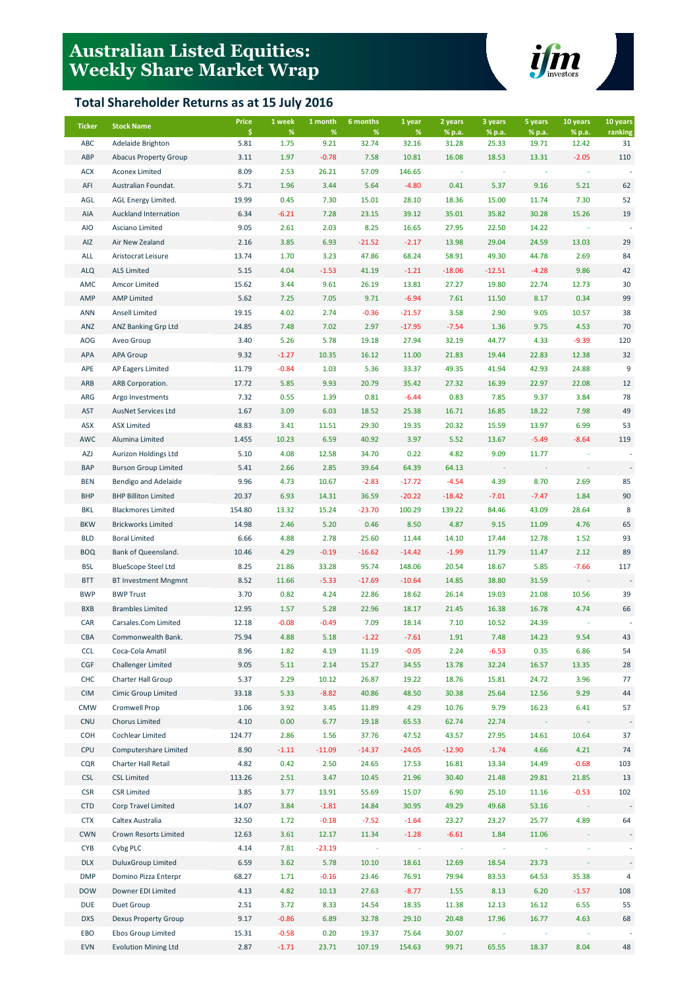# **Australian Listed Equities: Weekly Share Market Wrap**

### **Total Shareholder Returns as at 15 July 2016**



| <b>Ticker</b> | <b>Stock Name</b>            | <b>Price</b> | 1 week    | 1 month      | 6 months   | 1 year     | 2 years         | 3 years         | 5 years         | 10 years        | 10 years      |
|---------------|------------------------------|--------------|-----------|--------------|------------|------------|-----------------|-----------------|-----------------|-----------------|---------------|
| <b>ABC</b>    | Adelaide Brighton            | \$<br>5.81   | %<br>1.75 | $\%$<br>9.21 | %<br>32.74 | %<br>32.16 | % p.a.<br>31.28 | % p.a.<br>25.33 | % p.a.<br>19.71 | % p.a.<br>12.42 | ranking<br>31 |
| ABP           | <b>Abacus Property Group</b> | 3.11         | 1.97      | $-0.78$      | 7.58       | 10.81      | 16.08           | 18.53           | 13.31           | $-2.05$         | 110           |
| <b>ACX</b>    | <b>Aconex Limited</b>        | 8.09         | 2.53      | 26.21        | 57.09      | 146.65     |                 |                 |                 |                 |               |
| AFI           | Australian Foundat.          | 5.71         | 1.96      | 3.44         | 5.64       | $-4.80$    | 0.41            | 5.37            | 9.16            | 5.21            | 62            |
| AGL           | AGL Energy Limited.          | 19.99        | 0.45      | 7.30         | 15.01      | 28.10      | 18.36           | 15.00           | 11.74           | 7.30            | 52            |
| AIA           | Auckland Internation         | 6.34         | $-6.21$   | 7.28         | 23.15      | 39.12      | 35.01           | 35.82           | 30.28           | 15.26           | 19            |
| <b>AIO</b>    | Asciano Limited              | 9.05         | 2.61      | 2.03         | 8.25       | 16.65      | 27.95           | 22.50           | 14.22           |                 |               |
| AIZ           | Air New Zealand              | 2.16         | 3.85      | 6.93         | $-21.52$   | $-2.17$    | 13.98           | 29.04           | 24.59           | 13.03           | 29            |
| ALL           | Aristocrat Leisure           | 13.74        | 1.70      | 3.23         | 47.86      | 68.24      | 58.91           | 49.30           | 44.78           | 2.69            | 84            |
| <b>ALQ</b>    | <b>ALS Limited</b>           | 5.15         | 4.04      | $-1.53$      | 41.19      | $-1.21$    | $-18.06$        | $-12.51$        | $-4.28$         | 9.86            | 42            |
| AMC           | Amcor Limited                | 15.62        | 3.44      | 9.61         | 26.19      | 13.81      | 27.27           | 19.80           | 22.74           | 12.73           | 30            |
| AMP           | <b>AMP Limited</b>           | 5.62         | 7.25      | 7.05         | 9.71       | $-6.94$    | 7.61            | 11.50           | 8.17            | 0.34            | 99            |
| <b>ANN</b>    | <b>Ansell Limited</b>        | 19.15        | 4.02      | 2.74         | $-0.36$    | $-21.57$   | 3.58            | 2.90            | 9.05            | 10.57           | 38            |
| ANZ           | ANZ Banking Grp Ltd          | 24.85        | 7.48      | 7.02         | 2.97       | $-17.95$   | $-7.54$         | 1.36            | 9.75            | 4.53            | $70\,$        |
| <b>AOG</b>    | Aveo Group                   | 3.40         | 5.26      | 5.78         | 19.18      | 27.94      | 32.19           | 44.77           | 4.33            | $-9.39$         | 120           |
| <b>APA</b>    | <b>APA Group</b>             | 9.32         | $-1.27$   | 10.35        | 16.12      | 11.00      | 21.83           | 19.44           | 22.83           | 12.38           | 32            |
| APE           | <b>AP Eagers Limited</b>     | 11.79        | $-0.84$   | 1.03         | 5.36       | 33.37      | 49.35           | 41.94           | 42.93           | 24.88           | 9             |
| ARB           | ARB Corporation.             | 17.72        | 5.85      | 9.93         | 20.79      | 35.42      | 27.32           | 16.39           | 22.97           | 22.08           | 12            |
| ARG           | Argo Investments             | 7.32         | 0.55      | 1.39         | 0.81       | $-6.44$    | 0.83            | 7.85            | 9.37            | 3.84            | 78            |
| AST           | <b>AusNet Services Ltd</b>   | 1.67         | 3.09      | 6.03         | 18.52      | 25.38      | 16.71           | 16.85           | 18.22           | 7.98            | 49            |
| ASX           | <b>ASX Limited</b>           | 48.83        | 3.41      | 11.51        | 29.30      | 19.35      | 20.32           | 15.59           | 13.97           | 6.99            | 53            |
| AWC           | Alumina Limited              | 1.455        | 10.23     | 6.59         | 40.92      | 3.97       | 5.52            | 13.67           | $-5.49$         | $-8.64$         | 119           |
| AZJ           | Aurizon Holdings Ltd         | 5.10         | 4.08      | 12.58        | 34.70      | 0.22       | 4.82            | 9.09            | 11.77           |                 |               |
| <b>BAP</b>    | <b>Burson Group Limited</b>  | 5.41         | 2.66      | 2.85         | 39.64      | 64.39      | 64.13           |                 |                 |                 |               |
| <b>BEN</b>    | Bendigo and Adelaide         | 9.96         | 4.73      | 10.67        | $-2.83$    | $-17.72$   | $-4.54$         | 4.39            | 8.70            | 2.69            | 85            |
| <b>BHP</b>    | <b>BHP Billiton Limited</b>  | 20.37        | 6.93      | 14.31        | 36.59      | $-20.22$   | $-18.42$        | $-7.01$         | $-7.47$         | 1.84            | 90            |
| <b>BKL</b>    | <b>Blackmores Limited</b>    | 154.80       | 13.32     | 15.24        | $-23.70$   | 100.29     | 139.22          | 84.46           | 43.09           | 28.64           | 8             |
| <b>BKW</b>    | <b>Brickworks Limited</b>    | 14.98        | 2.46      | 5.20         | 0.46       | 8.50       | 4.87            | 9.15            | 11.09           | 4.76            | 65            |
| <b>BLD</b>    | <b>Boral Limited</b>         | 6.66         | 4.88      | 2.78         | 25.60      | 11.44      | 14.10           | 17.44           | 12.78           | 1.52            | 93            |
| <b>BOQ</b>    | Bank of Queensland.          | 10.46        | 4.29      | $-0.19$      | $-16.62$   | $-14.42$   | $-1.99$         | 11.79           | 11.47           | 2.12            | 89            |
| <b>BSL</b>    | <b>BlueScope Steel Ltd</b>   | 8.25         | 21.86     | 33.28        | 95.74      | 148.06     | 20.54           | 18.67           | 5.85            | $-7.66$         | 117           |
| <b>BTT</b>    | <b>BT Investment Mngmnt</b>  | 8.52         | 11.66     | $-5.33$      | $-17.69$   | $-10.64$   | 14.85           | 38.80           | 31.59           |                 |               |
| <b>BWP</b>    | <b>BWP Trust</b>             | 3.70         | 0.82      | 4.24         | 22.86      | 18.62      | 26.14           | 19.03           | 21.08           | 10.56           | 39            |
| <b>BXB</b>    | <b>Brambles Limited</b>      | 12.95        | 1.57      | 5.28         | 22.96      | 18.17      | 21.45           | 16.38           | 16.78           | 4.74            | 66            |
| CAR           | Carsales.Com Limited         | 12.18        | $-0.08$   | $-0.49$      | 7.09       | 18.14      | 7.10            | 10.52           | 24.39           |                 |               |
| CBA           | Commonwealth Bank.           | 75.94        | 4.88      | 5.18         | $-1.22$    | $-7.61$    | 1.91            | 7.48            | 14.23           | 9.54            | 43            |
| <b>CCL</b>    | Coca-Cola Amatil             | 8.96         | 1.82      | 4.19         | 11.19      | $-0.05$    | 2.24            | $-6.53$         | 0.35            | 6.86            | 54            |
| CGF           | <b>Challenger Limited</b>    | 9.05         | 5.11      | 2.14         | 15.27      | 34.55      | 13.78           | 32.24           | 16.57           | 13.35           | 28            |
| CHC           | Charter Hall Group           | 5.37         | 2.29      | 10.12        | 26.87      | 19.22      | 18.76           | 15.81           | 24.72           | 3.96            | 77            |
| <b>CIM</b>    | Cimic Group Limited          | 33.18        | 5.33      | $-8.82$      | 40.86      | 48.50      | 30.38           | 25.64           | 12.56           | 9.29            | 44            |
| <b>CMW</b>    | Cromwell Prop                | 1.06         | 3.92      | 3.45         | 11.89      | 4.29       | 10.76           | 9.79            | 16.23           | 6.41            | 57            |
| <b>CNU</b>    | <b>Chorus Limited</b>        | 4.10         | 0.00      | 6.77         | 19.18      | 65.53      | 62.74           | 22.74           |                 |                 |               |
| <b>COH</b>    | Cochlear Limited             | 124.77       | 2.86      | 1.56         | 37.76      | 47.52      | 43.57           | 27.95           | 14.61           | 10.64           | 37            |
| <b>CPU</b>    | Computershare Limited        | 8.90         | $-1.11$   | $-11.09$     | $-14.37$   | $-24.05$   | $-12.90$        | $-1.74$         | 4.66            | 4.21            | 74            |
| <b>CQR</b>    | Charter Hall Retail          | 4.82         | 0.42      | 2.50         | 24.65      | 17.53      | 16.81           | 13.34           | 14.49           | $-0.68$         | 103           |
| <b>CSL</b>    | <b>CSL Limited</b>           | 113.26       | 2.51      | 3.47         | 10.45      | 21.96      | 30.40           | 21.48           | 29.81           | 21.85           | 13            |
| <b>CSR</b>    | <b>CSR Limited</b>           | 3.85         | 3.77      | 13.91        | 55.69      | 15.07      | 6.90            | 25.10           | 11.16           | $-0.53$         | 102           |
| <b>CTD</b>    | Corp Travel Limited          | 14.07        | 3.84      | $-1.81$      | 14.84      | 30.95      | 49.29           | 49.68           | 53.16           |                 |               |
| <b>CTX</b>    | Caltex Australia             | 32.50        | 1.72      | $-0.18$      | $-7.52$    | $-1.64$    | 23.27           | 23.27           | 25.77           | 4.89            | 64            |
| <b>CWN</b>    | Crown Resorts Limited        | 12.63        | 3.61      | 12.17        | 11.34      | $-1.28$    | $-6.61$         | 1.84            | 11.06           |                 |               |
| <b>CYB</b>    | Cybg PLC                     | 4.14         | 7.81      | $-23.19$     |            |            |                 |                 |                 |                 |               |
| <b>DLX</b>    | <b>DuluxGroup Limited</b>    | 6.59         | 3.62      | 5.78         | 10.10      | 18.61      | 12.69           | 18.54           | 23.73           |                 |               |
| <b>DMP</b>    | Domino Pizza Enterpr         | 68.27        | 1.71      | $-0.16$      | 23.46      | 76.91      | 79.94           | 83.53           | 64.53           | 35.38           | 4             |
| <b>DOW</b>    | Downer EDI Limited           | 4.13         | 4.82      | 10.13        | 27.63      | $-8.77$    | 1.55            | 8.13            | 6.20            | $-1.57$         | 108           |
| <b>DUE</b>    | Duet Group                   | 2.51         | 3.72      | 8.33         | 14.54      | 18.35      | 11.38           | 12.13           | 16.12           | 6.55            | 55            |
| <b>DXS</b>    | <b>Dexus Property Group</b>  | 9.17         | $-0.86$   | 6.89         | 32.78      | 29.10      | 20.48           | 17.96           | 16.77           | 4.63            | 68            |
| EBO           | <b>Ebos Group Limited</b>    | 15.31        | $-0.58$   | 0.20         | 19.37      | 75.64      | 30.07           |                 |                 |                 |               |
| <b>EVN</b>    | <b>Evolution Mining Ltd</b>  | 2.87         | $-1.71$   | 23.71        | 107.19     | 154.63     | 99.71           | 65.55           | 18.37           | 8.04            | 48            |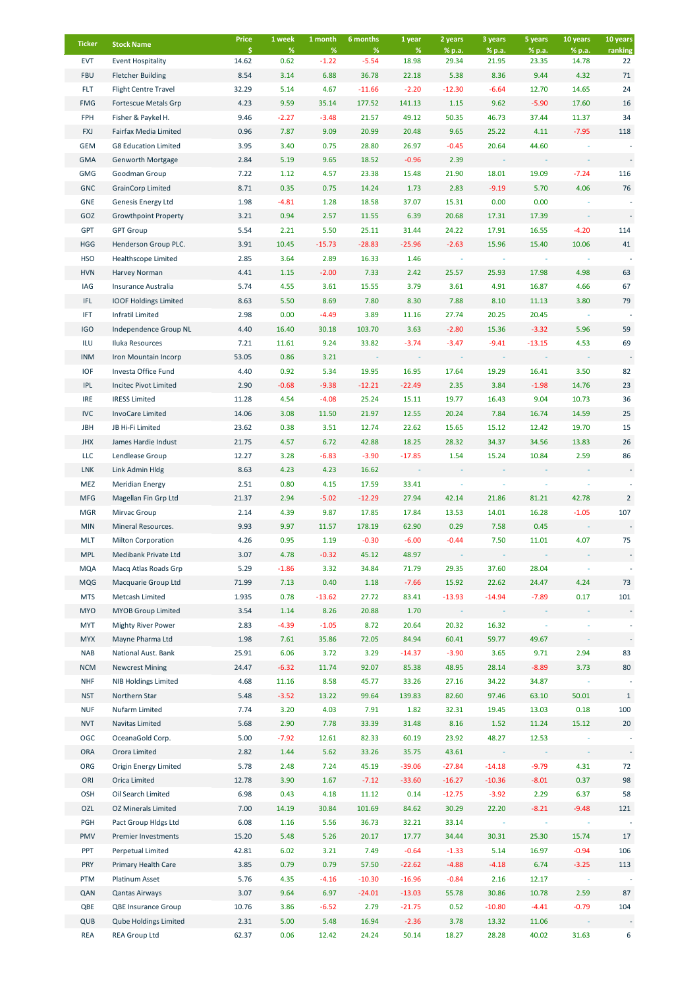| <b>Ticker</b>     | <b>Stock Name</b>                                          | Price<br>Ŝ.   | 1 week<br>%  | 1 month<br>$\%$ | 6 months<br>%    | 1 year<br>$\%$      | 2 years         | 3 years           | 5 years          | 10 years<br>% p.a. | 10 years                       |
|-------------------|------------------------------------------------------------|---------------|--------------|-----------------|------------------|---------------------|-----------------|-------------------|------------------|--------------------|--------------------------------|
| <b>EVT</b>        | <b>Event Hospitality</b>                                   | 14.62         | 0.62         | $-1.22$         | $-5.54$          | 18.98               | % p.a.<br>29.34 | % p.a.<br>21.95   | % p.a.<br>23.35  | 14.78              | ranking<br>22                  |
| <b>FBU</b>        | <b>Fletcher Building</b>                                   | 8.54          | 3.14         | 6.88            | 36.78            | 22.18               | 5.38            | 8.36              | 9.44             | 4.32               | 71                             |
| <b>FLT</b>        | <b>Flight Centre Travel</b>                                | 32.29         | 5.14         | 4.67            | $-11.66$         | $-2.20$             | $-12.30$        | $-6.64$           | 12.70            | 14.65              | 24                             |
| <b>FMG</b>        | Fortescue Metals Grp                                       | 4.23          | 9.59         | 35.14           | 177.52           | 141.13              | 1.15            | 9.62              | $-5.90$          | 17.60              | 16                             |
| FPH               | Fisher & Paykel H.                                         | 9.46          | $-2.27$      | $-3.48$         | 21.57            | 49.12               | 50.35           | 46.73             | 37.44            | 11.37              | 34                             |
| <b>FXJ</b>        | Fairfax Media Limited                                      | 0.96          | 7.87         | 9.09            | 20.99            | 20.48               | 9.65            | 25.22             | 4.11             | $-7.95$            | 118                            |
| <b>GEM</b>        | <b>G8 Education Limited</b>                                | 3.95          | 3.40         | 0.75            | 28.80            | 26.97               | $-0.45$         | 20.64             | 44.60            |                    |                                |
| <b>GMA</b>        | Genworth Mortgage                                          | 2.84          | 5.19         | 9.65            | 18.52            | $-0.96$             | 2.39            |                   |                  |                    |                                |
| <b>GMG</b>        | Goodman Group                                              | 7.22          | 1.12         | 4.57            | 23.38            | 15.48               | 21.90           | 18.01             | 19.09            | $-7.24$            | 116                            |
| <b>GNC</b>        | <b>GrainCorp Limited</b>                                   | 8.71          | 0.35         | 0.75            | 14.24            | 1.73                | 2.83            | $-9.19$           | 5.70             | 4.06               | 76                             |
| GNE               | <b>Genesis Energy Ltd</b>                                  | 1.98          | $-4.81$      | 1.28            | 18.58            | 37.07               | 15.31           | 0.00              | 0.00             |                    |                                |
| GOZ               | <b>Growthpoint Property</b>                                | 3.21          | 0.94         | 2.57            | 11.55            | 6.39                | 20.68           | 17.31             | 17.39            |                    |                                |
| GPT               | <b>GPT Group</b>                                           | 5.54          | 2.21         | 5.50            | 25.11            | 31.44               | 24.22           | 17.91             | 16.55            | $-4.20$            | 114                            |
| <b>HGG</b>        | Henderson Group PLC.                                       | 3.91          | 10.45        | $-15.73$        | $-28.83$         | $-25.96$            | $-2.63$         | 15.96             | 15.40            | 10.06              | 41                             |
| <b>HSO</b>        | <b>Healthscope Limited</b>                                 | 2.85          | 3.64         | 2.89            | 16.33            | 1.46                |                 |                   |                  |                    |                                |
| <b>HVN</b>        | Harvey Norman                                              | 4.41          | 1.15         | $-2.00$         | 7.33             | 2.42                | 25.57           | 25.93             | 17.98            | 4.98               | 63                             |
| IAG               | Insurance Australia                                        | 5.74          | 4.55         | 3.61            | 15.55            | 3.79                | 3.61            | 4.91              | 16.87            | 4.66               | 67                             |
| IFL               | <b>IOOF Holdings Limited</b>                               | 8.63          | 5.50         | 8.69            | 7.80             | 8.30                | 7.88            | 8.10              | 11.13            | 3.80               | 79                             |
| IFT               | <b>Infratil Limited</b>                                    | 2.98          | 0.00         | $-4.49$         | 3.89             | 11.16               | 27.74           | 20.25             | 20.45            |                    |                                |
| <b>IGO</b>        | Independence Group NL                                      | 4.40          | 16.40        | 30.18           | 103.70           | 3.63                | $-2.80$         | 15.36             | $-3.32$          | 5.96               | 59                             |
| ILU               | Iluka Resources                                            | 7.21          | 11.61        | 9.24            | 33.82            | $-3.74$             | $-3.47$         | $-9.41$           | $-13.15$         | 4.53               | 69                             |
| <b>INM</b>        | Iron Mountain Incorp                                       | 53.05         | 0.86         | 3.21            |                  |                     |                 |                   |                  |                    |                                |
| <b>IOF</b>        | Investa Office Fund                                        | 4.40          | 0.92         | 5.34            | 19.95            | 16.95               | 17.64           | 19.29             | 16.41            | 3.50               | 82                             |
| <b>IPL</b>        | Incitec Pivot Limited                                      | 2.90          | $-0.68$      | $-9.38$         | $-12.21$         | $-22.49$            | 2.35            | 3.84              | $-1.98$          | 14.76              | 23                             |
| <b>IRE</b>        | <b>IRESS Limited</b>                                       | 11.28         | 4.54         | $-4.08$         | 25.24            | 15.11               | 19.77           | 16.43             | 9.04             | 10.73              | 36                             |
| <b>IVC</b>        | <b>InvoCare Limited</b>                                    | 14.06         | 3.08         | 11.50           | 21.97            | 12.55               | 20.24           | 7.84              | 16.74            | 14.59              | 25                             |
| <b>JBH</b>        | JB Hi-Fi Limited                                           | 23.62         | 0.38         | 3.51            | 12.74            | 22.62               | 15.65           | 15.12             | 12.42            | 19.70              | 15                             |
| <b>JHX</b>        | James Hardie Indust                                        | 21.75         | 4.57<br>3.28 | 6.72            | 42.88            | 18.25               | 28.32<br>1.54   | 34.37             | 34.56            | 13.83              | 26                             |
| LLC<br><b>LNK</b> | Lendlease Group                                            | 12.27<br>8.63 | 4.23         | $-6.83$<br>4.23 | $-3.90$<br>16.62 | $-17.85$            |                 | 15.24             | 10.84            | 2.59               | 86<br>$\overline{\phantom{a}}$ |
| MEZ               | Link Admin Hldg<br><b>Meridian Energy</b>                  | 2.51          | 0.80         | 4.15            | 17.59            | 33.41               |                 |                   |                  |                    |                                |
| <b>MFG</b>        | Magellan Fin Grp Ltd                                       | 21.37         | 2.94         | $-5.02$         | $-12.29$         | 27.94               | 42.14           | 21.86             | 81.21            | 42.78              | $\overline{2}$                 |
| <b>MGR</b>        | Mirvac Group                                               | 2.14          | 4.39         | 9.87            | 17.85            | 17.84               | 13.53           | 14.01             | 16.28            | $-1.05$            | 107                            |
| <b>MIN</b>        | Mineral Resources.                                         | 9.93          | 9.97         | 11.57           | 178.19           | 62.90               | 0.29            | 7.58              | 0.45             |                    |                                |
| <b>MLT</b>        | <b>Milton Corporation</b>                                  | 4.26          | 0.95         | 1.19            | $-0.30$          | $-6.00$             | $-0.44$         | 7.50              | 11.01            | 4.07               | 75                             |
| <b>MPL</b>        | Medibank Private Ltd                                       | 3.07          | 4.78         | $-0.32$         | 45.12            | 48.97               |                 |                   |                  |                    |                                |
| <b>MQA</b>        | Macq Atlas Roads Grp                                       | 5.29          | $-1.86$      | 3.32            | 34.84            | 71.79               | 29.35           | 37.60             | 28.04            |                    |                                |
| <b>MQG</b>        | Macquarie Group Ltd                                        | 71.99         | 7.13         | 0.40            | 1.18             | $-7.66$             | 15.92           | 22.62             | 24.47            | 4.24               | 73                             |
| <b>MTS</b>        | Metcash Limited                                            | 1.935         | 0.78         | $-13.62$        | 27.72            | 83.41               | $-13.93$        | $-14.94$          | $-7.89$          | 0.17               | 101                            |
| <b>MYO</b>        | <b>MYOB Group Limited</b>                                  | 3.54          | 1.14         | 8.26            | 20.88            | 1.70                |                 |                   |                  |                    |                                |
| MYT               | <b>Mighty River Power</b>                                  | 2.83          | $-4.39$      | $-1.05$         | 8.72             | 20.64               | 20.32           | 16.32             |                  |                    |                                |
| <b>MYX</b>        | Mayne Pharma Ltd                                           | 1.98          | 7.61         | 35.86           | 72.05            | 84.94               | 60.41           | 59.77             | 49.67            |                    |                                |
| <b>NAB</b>        | National Aust. Bank                                        | 25.91         | 6.06         | 3.72            | 3.29             | $-14.37$            | $-3.90$         | 3.65              | 9.71             | 2.94               | 83                             |
| <b>NCM</b>        | <b>Newcrest Mining</b>                                     | 24.47         | $-6.32$      | 11.74           | 92.07            | 85.38               | 48.95           | 28.14             | $-8.89$          | 3.73               | 80                             |
| <b>NHF</b>        | <b>NIB Holdings Limited</b>                                | 4.68          | 11.16        | 8.58            | 45.77            | 33.26               | 27.16           | 34.22             | 34.87            |                    |                                |
| <b>NST</b>        | Northern Star                                              | 5.48          | $-3.52$      | 13.22           | 99.64            | 139.83              | 82.60           | 97.46             | 63.10            | 50.01              | $\mathbf{1}$                   |
| <b>NUF</b>        | Nufarm Limited                                             | 7.74          | 3.20         | 4.03            | 7.91             | 1.82                | 32.31           | 19.45             | 13.03            | 0.18               | 100                            |
| <b>NVT</b>        | Navitas Limited                                            | 5.68          | 2.90         | 7.78            | 33.39            | 31.48               | 8.16            | 1.52              | 11.24            | 15.12              | 20                             |
| OGC               | OceanaGold Corp.                                           | 5.00          | $-7.92$      | 12.61           | 82.33            | 60.19               | 23.92           | 48.27             | 12.53            |                    |                                |
| ORA               | Orora Limited                                              | 2.82          | 1.44         | 5.62            | 33.26            | 35.75               | 43.61           |                   |                  |                    |                                |
| ORG               | <b>Origin Energy Limited</b>                               | 5.78          | 2.48         | 7.24            | 45.19            | $-39.06$            | $-27.84$        | $-14.18$          | $-9.79$          | 4.31               | 72                             |
| ORI               | Orica Limited                                              | 12.78         | 3.90         | 1.67            | $-7.12$          | $-33.60$            | $-16.27$        | $-10.36$          | $-8.01$          | 0.37               | 98                             |
| OSH               | Oil Search Limited                                         | 6.98          | 0.43         | 4.18            | 11.12            | 0.14                | $-12.75$        | $-3.92$           | 2.29             | 6.37               | 58                             |
| OZL               | <b>OZ Minerals Limited</b>                                 | 7.00          | 14.19        | 30.84           | 101.69           | 84.62               | 30.29           | 22.20             | $-8.21$          | $-9.48$            | 121                            |
| PGH               | Pact Group Hldgs Ltd                                       | 6.08          | 1.16         | 5.56            | 36.73            | 32.21               | 33.14           |                   |                  |                    |                                |
| PMV               | Premier Investments                                        | 15.20         | 5.48         | 5.26            | 20.17            | 17.77               | 34.44           | 30.31             | 25.30            | 15.74              | 17                             |
| PPT               | Perpetual Limited                                          | 42.81         | 6.02         | 3.21            | 7.49             | $-0.64$             | $-1.33$         | 5.14              | 16.97            | $-0.94$            | 106                            |
| <b>PRY</b>        | Primary Health Care                                        | 3.85          | 0.79         | 0.79            | 57.50            | $-22.62$            | $-4.88$         | $-4.18$           | 6.74             | $-3.25$            | 113                            |
| PTM               | Platinum Asset                                             | 5.76          | 4.35         | $-4.16$         | $-10.30$         | $-16.96$            | $-0.84$         | 2.16              | 12.17            |                    |                                |
| QAN               | <b>Qantas Airways</b>                                      | 3.07          | 9.64         | 6.97            | $-24.01$         | $-13.03$            | 55.78           | 30.86             | 10.78            | 2.59               | 87                             |
| QBE<br>QUB        | <b>QBE Insurance Group</b><br><b>Qube Holdings Limited</b> | 10.76<br>2.31 | 3.86<br>5.00 | $-6.52$<br>5.48 | 2.79<br>16.94    | $-21.75$<br>$-2.36$ | 0.52<br>3.78    | $-10.80$<br>13.32 | $-4.41$<br>11.06 | $-0.79$            | 104                            |
| <b>REA</b>        | <b>REA Group Ltd</b>                                       | 62.37         | 0.06         | 12.42           | 24.24            | 50.14               | 18.27           | 28.28             | 40.02            | 31.63              | 6                              |
|                   |                                                            |               |              |                 |                  |                     |                 |                   |                  |                    |                                |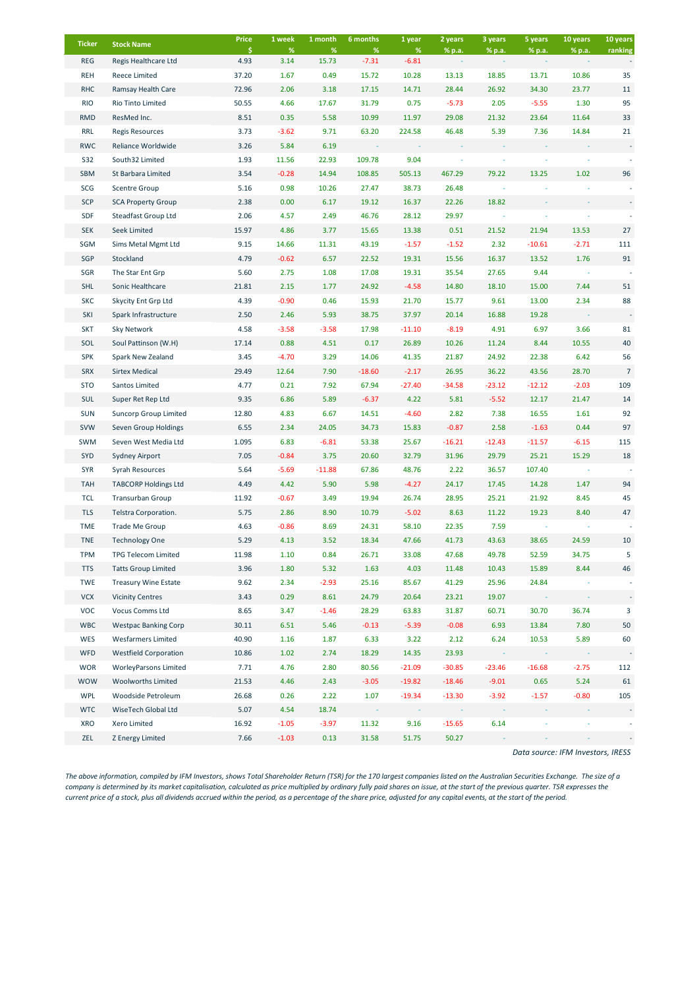| <b>Ticker</b> | <b>Stock Name</b>            | Price      | 1 week       | 1 month       | 6 months     | 1 year          | 2 years  | 3 years  | 5 years  | 10 years | 10 years       |
|---------------|------------------------------|------------|--------------|---------------|--------------|-----------------|----------|----------|----------|----------|----------------|
| <b>REG</b>    | Regis Healthcare Ltd         | \$<br>4.93 | $\%$<br>3.14 | $\%$<br>15.73 | %<br>$-7.31$ | $\%$<br>$-6.81$ | % p.a.   | % p.a.   | % p.a.   | % p.a.   | ranking        |
| <b>REH</b>    | <b>Reece Limited</b>         | 37.20      | 1.67         | 0.49          | 15.72        | 10.28           | 13.13    | 18.85    | 13.71    | 10.86    | 35             |
| <b>RHC</b>    | Ramsay Health Care           | 72.96      | 2.06         | 3.18          | 17.15        | 14.71           | 28.44    | 26.92    | 34.30    | 23.77    | 11             |
| <b>RIO</b>    | Rio Tinto Limited            | 50.55      | 4.66         | 17.67         | 31.79        | 0.75            | $-5.73$  | 2.05     | $-5.55$  | 1.30     | 95             |
| <b>RMD</b>    | ResMed Inc.                  | 8.51       | 0.35         | 5.58          | 10.99        | 11.97           | 29.08    | 21.32    | 23.64    | 11.64    | 33             |
| <b>RRL</b>    | <b>Regis Resources</b>       | 3.73       | $-3.62$      | 9.71          | 63.20        | 224.58          | 46.48    | 5.39     | 7.36     | 14.84    | 21             |
| <b>RWC</b>    | Reliance Worldwide           | 3.26       | 5.84         | 6.19          |              |                 |          |          |          |          |                |
| S32           | South32 Limited              | 1.93       | 11.56        | 22.93         | 109.78       | 9.04            |          |          |          |          |                |
| <b>SBM</b>    | St Barbara Limited           | 3.54       | $-0.28$      | 14.94         | 108.85       | 505.13          | 467.29   | 79.22    | 13.25    | 1.02     | 96             |
| SCG           | <b>Scentre Group</b>         | 5.16       | 0.98         | 10.26         | 27.47        | 38.73           | 26.48    |          |          |          |                |
| <b>SCP</b>    | <b>SCA Property Group</b>    | 2.38       | 0.00         | 6.17          | 19.12        | 16.37           | 22.26    | 18.82    |          |          |                |
| <b>SDF</b>    | Steadfast Group Ltd          | 2.06       | 4.57         | 2.49          | 46.76        | 28.12           | 29.97    |          |          |          |                |
| <b>SEK</b>    | Seek Limited                 | 15.97      | 4.86         | 3.77          | 15.65        | 13.38           | 0.51     | 21.52    | 21.94    | 13.53    | 27             |
| SGM           | Sims Metal Mgmt Ltd          | 9.15       | 14.66        | 11.31         | 43.19        | $-1.57$         | $-1.52$  | 2.32     | $-10.61$ | $-2.71$  | 111            |
| SGP           | Stockland                    | 4.79       | $-0.62$      | 6.57          | 22.52        | 19.31           | 15.56    | 16.37    | 13.52    | 1.76     | 91             |
| SGR           | The Star Ent Grp             | 5.60       | 2.75         | 1.08          | 17.08        | 19.31           | 35.54    | 27.65    | 9.44     |          |                |
| <b>SHL</b>    | Sonic Healthcare             | 21.81      | 2.15         | 1.77          | 24.92        | $-4.58$         | 14.80    | 18.10    | 15.00    | 7.44     | 51             |
| <b>SKC</b>    | Skycity Ent Grp Ltd          | 4.39       | $-0.90$      | 0.46          | 15.93        | 21.70           | 15.77    | 9.61     | 13.00    | 2.34     | 88             |
| SKI           | Spark Infrastructure         | 2.50       | 2.46         | 5.93          | 38.75        | 37.97           | 20.14    | 16.88    | 19.28    |          |                |
| <b>SKT</b>    | Sky Network                  | 4.58       | $-3.58$      | $-3.58$       | 17.98        | $-11.10$        | $-8.19$  | 4.91     | 6.97     | 3.66     | 81             |
| SOL           | Soul Pattinson (W.H)         | 17.14      | 0.88         | 4.51          | 0.17         | 26.89           | 10.26    | 11.24    | 8.44     | 10.55    | 40             |
| <b>SPK</b>    | Spark New Zealand            | 3.45       | $-4.70$      | 3.29          | 14.06        | 41.35           | 21.87    | 24.92    | 22.38    | 6.42     | 56             |
| <b>SRX</b>    | <b>Sirtex Medical</b>        | 29.49      | 12.64        | 7.90          | $-18.60$     | $-2.17$         | 26.95    | 36.22    | 43.56    | 28.70    | $\overline{7}$ |
| <b>STO</b>    | Santos Limited               | 4.77       | 0.21         | 7.92          | 67.94        | $-27.40$        | $-34.58$ | $-23.12$ | $-12.12$ | $-2.03$  | 109            |
| <b>SUL</b>    | Super Ret Rep Ltd            | 9.35       | 6.86         | 5.89          | $-6.37$      | 4.22            | 5.81     | $-5.52$  | 12.17    | 21.47    | 14             |
| <b>SUN</b>    | <b>Suncorp Group Limited</b> | 12.80      | 4.83         | 6.67          | 14.51        | $-4.60$         | 2.82     | 7.38     | 16.55    | 1.61     | 92             |
| <b>SVW</b>    | Seven Group Holdings         | 6.55       | 2.34         | 24.05         | 34.73        | 15.83           | $-0.87$  | 2.58     | $-1.63$  | 0.44     | 97             |
| SWM           | Seven West Media Ltd         | 1.095      | 6.83         | $-6.81$       | 53.38        | 25.67           | $-16.21$ | $-12.43$ | $-11.57$ | $-6.15$  | 115            |
| SYD           | <b>Sydney Airport</b>        | 7.05       | $-0.84$      | 3.75          | 20.60        | 32.79           | 31.96    | 29.79    | 25.21    | 15.29    | 18             |
| <b>SYR</b>    | Syrah Resources              | 5.64       | $-5.69$      | $-11.88$      | 67.86        | 48.76           | 2.22     | 36.57    | 107.40   |          |                |
| <b>TAH</b>    | <b>TABCORP Holdings Ltd</b>  | 4.49       | 4.42         | 5.90          | 5.98         | $-4.27$         | 24.17    | 17.45    | 14.28    | 1.47     | 94             |
| <b>TCL</b>    | <b>Transurban Group</b>      | 11.92      | $-0.67$      | 3.49          | 19.94        | 26.74           | 28.95    | 25.21    | 21.92    | 8.45     | 45             |
| <b>TLS</b>    | Telstra Corporation.         | 5.75       | 2.86         | 8.90          | 10.79        | $-5.02$         | 8.63     | 11.22    | 19.23    | 8.40     | 47             |
| <b>TME</b>    | Trade Me Group               | 4.63       | $-0.86$      | 8.69          | 24.31        | 58.10           | 22.35    | 7.59     |          |          |                |
| <b>TNE</b>    | <b>Technology One</b>        | 5.29       | 4.13         | 3.52          | 18.34        | 47.66           | 41.73    | 43.63    | 38.65    | 24.59    | 10             |
| <b>TPM</b>    | <b>TPG Telecom Limited</b>   | 11.98      | 1.10         | 0.84          | 26.71        | 33.08           | 47.68    | 49.78    | 52.59    | 34.75    | 5              |
| <b>TTS</b>    | <b>Tatts Group Limited</b>   | 3.96       | 1.80         | 5.32          | 1.63         | 4.03            | 11.48    | 10.43    | 15.89    | 8.44     | 46             |
| TWE           | <b>Treasury Wine Estate</b>  | 9.62       | 2.34         | $-2.93$       | 25.16        | 85.67           | 41.29    | 25.96    | 24.84    |          |                |
| <b>VCX</b>    | <b>Vicinity Centres</b>      | 3.43       | 0.29         | 8.61          | 24.79        | 20.64           | 23.21    | 19.07    |          |          |                |
| <b>VOC</b>    | Vocus Comms Ltd              | 8.65       | 3.47         | $-1.46$       | 28.29        | 63.83           | 31.87    | 60.71    | 30.70    | 36.74    | 3              |
| <b>WBC</b>    | <b>Westpac Banking Corp</b>  | 30.11      | 6.51         | 5.46          | $-0.13$      | $-5.39$         | $-0.08$  | 6.93     | 13.84    | 7.80     | 50             |
| WES           | <b>Wesfarmers Limited</b>    | 40.90      | 1.16         | 1.87          | 6.33         | 3.22            | 2.12     | 6.24     | 10.53    | 5.89     | 60             |
| <b>WFD</b>    | <b>Westfield Corporation</b> | 10.86      | 1.02         | 2.74          | 18.29        | 14.35           | 23.93    |          |          |          |                |
| <b>WOR</b>    | <b>WorleyParsons Limited</b> | 7.71       | 4.76         | 2.80          | 80.56        | $-21.09$        | $-30.85$ | $-23.46$ | $-16.68$ | $-2.75$  | 112            |
| <b>WOW</b>    | <b>Woolworths Limited</b>    | 21.53      | 4.46         | 2.43          | $-3.05$      | $-19.82$        | $-18.46$ | $-9.01$  | 0.65     | 5.24     | 61             |
| <b>WPL</b>    | Woodside Petroleum           | 26.68      | 0.26         | 2.22          | 1.07         | $-19.34$        | $-13.30$ | $-3.92$  | $-1.57$  | $-0.80$  | 105            |
| <b>WTC</b>    | WiseTech Global Ltd          | 5.07       | 4.54         | 18.74         |              |                 |          |          |          |          |                |
| <b>XRO</b>    | Xero Limited                 | 16.92      | $-1.05$      | $-3.97$       | 11.32        | 9.16            | $-15.65$ | 6.14     |          |          |                |
| ZEL           | Z Energy Limited             | 7.66       | $-1.03$      | 0.13          | 31.58        | 51.75           | 50.27    |          |          |          |                |

*Data source: IFM Investors, IRESS*

*The above information, compiled by IFM Investors, shows Total Shareholder Return (TSR) for the 170 largest companies listed on the Australian Securities Exchange. The size of a company is determined by its market capitalisation, calculated as price multiplied by ordinary fully paid shares on issue, at the start of the previous quarter. TSR expresses the current price of a stock, plus all dividends accrued within the period, as a percentage of the share price, adjusted for any capital events, at the start of the period.*